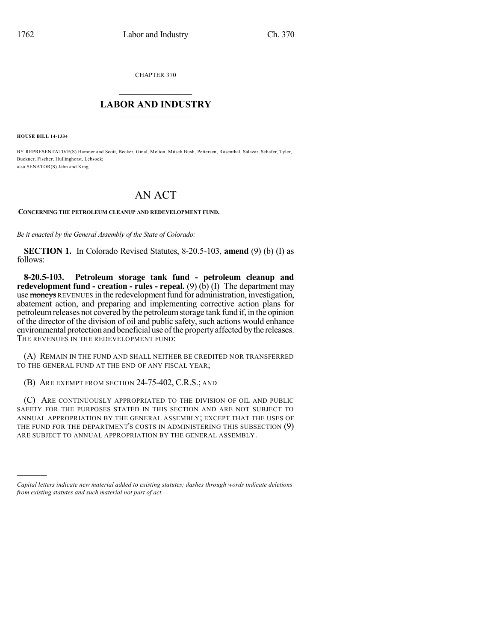CHAPTER 370

## $\mathcal{L}_\text{max}$  . The set of the set of the set of the set of the set of the set of the set of the set of the set of the set of the set of the set of the set of the set of the set of the set of the set of the set of the set **LABOR AND INDUSTRY**  $\frac{1}{\sqrt{2}}$  ,  $\frac{1}{\sqrt{2}}$  ,  $\frac{1}{\sqrt{2}}$  ,  $\frac{1}{\sqrt{2}}$  ,  $\frac{1}{\sqrt{2}}$  ,  $\frac{1}{\sqrt{2}}$

**HOUSE BILL 14-1334**

)))))

BY REPRESENTATIVE(S) Hamner and Scott, Becker, Ginal, Melton, Mitsch Bush, Pettersen, Rosenthal, Salazar, Schafer, Tyler, Buckner, Fischer, Hullinghorst, Lebsock; also SENATOR(S) Jahn and King.

## AN ACT

**CONCERNING THE PETROLEUM CLEANUP AND REDEVELOPMENT FUND.**

*Be it enacted by the General Assembly of the State of Colorado:*

**SECTION 1.** In Colorado Revised Statutes, 8-20.5-103, **amend** (9) (b) (I) as follows:

**8-20.5-103. Petroleum storage tank fund - petroleum cleanup and redevelopment fund - creation - rules - repeal.** (9) (b) (I) The department may use moneys REVENUES in the redevelopment fund for administration, investigation, abatement action, and preparing and implementing corrective action plans for petroleumreleases not covered by the petroleumstorage tank fund if, in the opinion of the director of the division of oil and public safety, such actions would enhance environmental protection and beneficial use of the property affected by the releases. THE REVENUES IN THE REDEVELOPMENT FUND:

(A) REMAIN IN THE FUND AND SHALL NEITHER BE CREDITED NOR TRANSFERRED TO THE GENERAL FUND AT THE END OF ANY FISCAL YEAR;

(B) ARE EXEMPT FROM SECTION 24-75-402, C.R.S.; AND

(C) ARE CONTINUOUSLY APPROPRIATED TO THE DIVISION OF OIL AND PUBLIC SAFETY FOR THE PURPOSES STATED IN THIS SECTION AND ARE NOT SUBJECT TO ANNUAL APPROPRIATION BY THE GENERAL ASSEMBLY; EXCEPT THAT THE USES OF THE FUND FOR THE DEPARTMENT'S COSTS IN ADMINISTERING THIS SUBSECTION (9) ARE SUBJECT TO ANNUAL APPROPRIATION BY THE GENERAL ASSEMBLY.

*Capital letters indicate new material added to existing statutes; dashes through words indicate deletions from existing statutes and such material not part of act.*